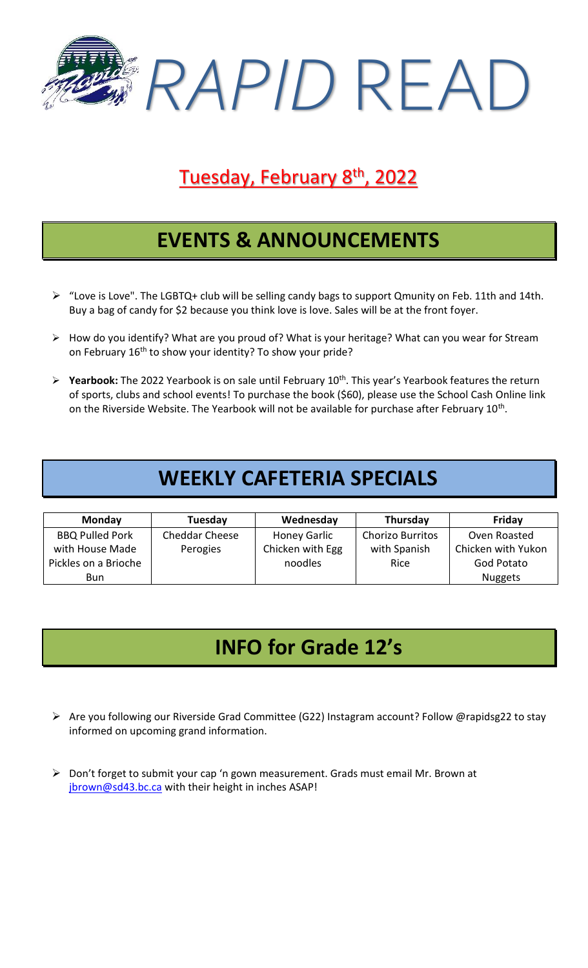

# Tuesday, February 8<sup>th</sup>, 2022

## **EVENTS & ANNOUNCEMENTS**

- ➢ "Love is Love". The LGBTQ+ club will be selling candy bags to support Qmunity on Feb. 11th and 14th. Buy a bag of candy for \$2 because you think love is love. Sales will be at the front foyer.
- ➢ How do you identify? What are you proud of? What is your heritage? What can you wear for Stream on February 16<sup>th</sup> to show your identity? To show your pride?
- ➢ **Yearbook:** The 2022 Yearbook is on sale until February 10th. This year's Yearbook features the return of sports, clubs and school events! To purchase the book (\$60), please use the School Cash Online link on the Riverside Website. The Yearbook will not be available for purchase after February 10<sup>th</sup>.

## **WEEKLY CAFETERIA SPECIALS**

| <b>Monday</b>          | Tuesday               | Wednesday           | Thursday                | Friday             |
|------------------------|-----------------------|---------------------|-------------------------|--------------------|
| <b>BBQ Pulled Pork</b> | <b>Cheddar Cheese</b> | <b>Honey Garlic</b> | <b>Chorizo Burritos</b> | Oven Roasted       |
| with House Made        | Perogies              | Chicken with Egg    | with Spanish            | Chicken with Yukon |
| Pickles on a Brioche   |                       | noodles             | Rice                    | God Potato         |
| Bun                    |                       |                     |                         | <b>Nuggets</b>     |

# **INFO for Grade 12's**

- ➢ Are you following our Riverside Grad Committee (G22) Instagram account? Follow @rapidsg22 to stay informed on upcoming grand information.
- ➢ Don't forget to submit your cap 'n gown measurement. Grads must email Mr. Brown at [jbrown@sd43.bc.ca](mailto:jbrown@sd43.bc.ca) with their height in inches ASAP!